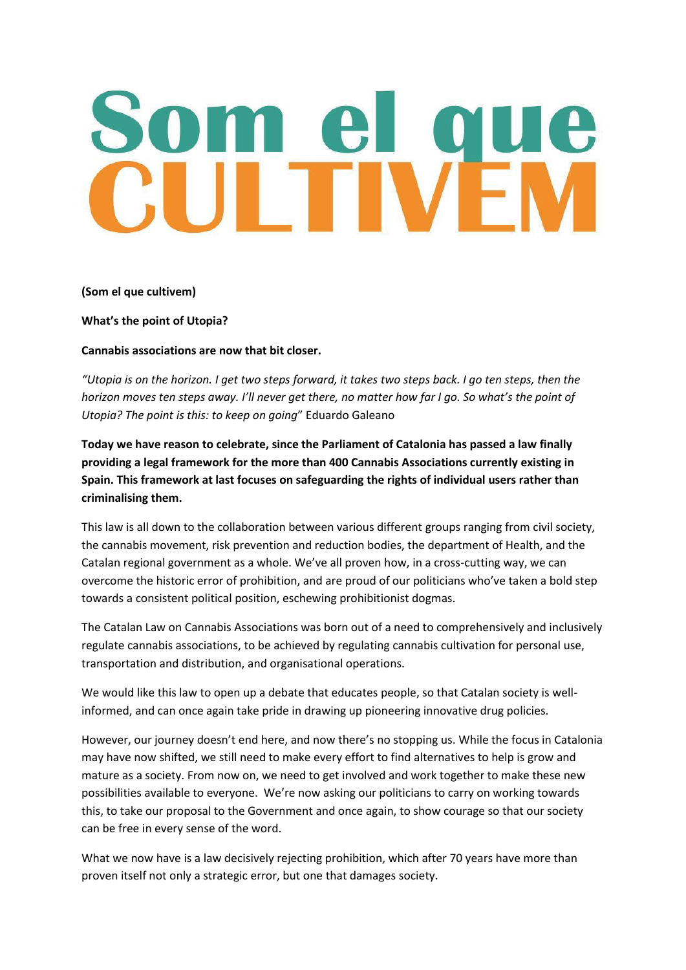## I T

**(Som el que cultivem)**

**What's the point of Utopia?** 

**Cannabis associations are now that bit closer.** 

*"Utopia is on the horizon. I get two steps forward, it takes two steps back. I go ten steps, then the horizon moves ten steps away. I'll never get there, no matter how far I go. So what's the point of Utopia? The point is this: to keep on going*" Eduardo Galeano

**Today we have reason to celebrate, since the Parliament of Catalonia has passed a law finally providing a legal framework for the more than 400 Cannabis Associations currently existing in Spain. This framework at last focuses on safeguarding the rights of individual users rather than criminalising them.** 

This law is all down to the collaboration between various different groups ranging from civil society, the cannabis movement, risk prevention and reduction bodies, the department of Health, and the Catalan regional government as a whole. We've all proven how, in a cross-cutting way, we can overcome the historic error of prohibition, and are proud of our politicians who've taken a bold step towards a consistent political position, eschewing prohibitionist dogmas.

The Catalan Law on Cannabis Associations was born out of a need to comprehensively and inclusively regulate cannabis associations, to be achieved by regulating cannabis cultivation for personal use, transportation and distribution, and organisational operations.

We would like this law to open up a debate that educates people, so that Catalan society is wellinformed, and can once again take pride in drawing up pioneering innovative drug policies.

However, our journey doesn't end here, and now there's no stopping us. While the focus in Catalonia may have now shifted, we still need to make every effort to find alternatives to help is grow and mature as a society. From now on, we need to get involved and work together to make these new possibilities available to everyone. We're now asking our politicians to carry on working towards this, to take our proposal to the Government and once again, to show courage so that our society can be free in every sense of the word.

What we now have is a law decisively rejecting prohibition, which after 70 years have more than proven itself not only a strategic error, but one that damages society.